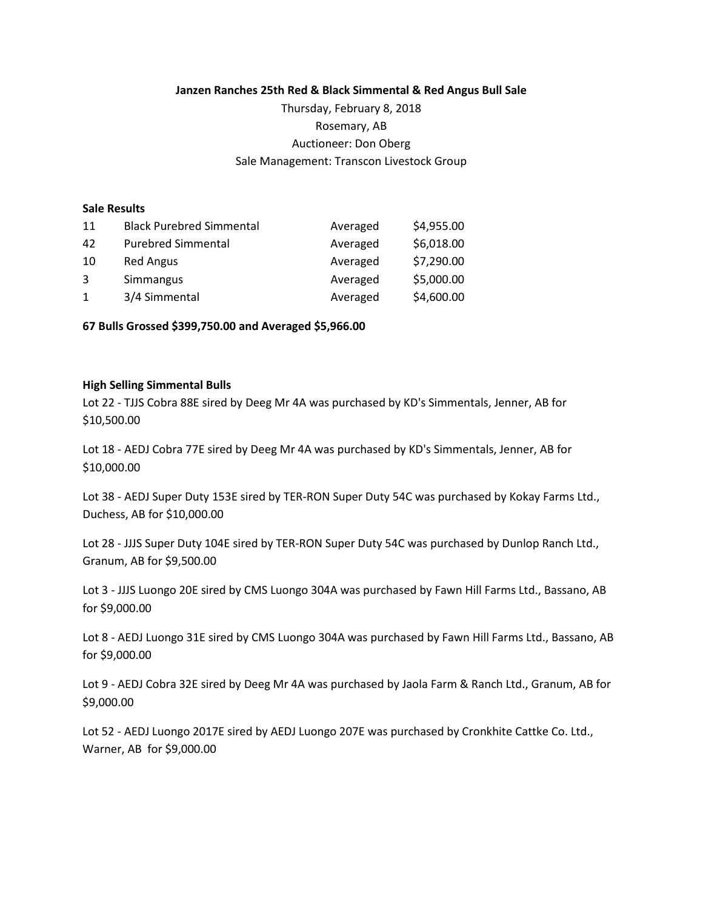**Janzen Ranches 25th Red & Black Simmental & Red Angus Bull Sale**

Thursday, February 8, 2018 Rosemary, AB Auctioneer: Don Oberg Sale Management: Transcon Livestock Group

## **Sale Results**

| 11 | <b>Black Purebred Simmental</b> | Averaged | \$4,955.00 |
|----|---------------------------------|----------|------------|
| 42 | <b>Purebred Simmental</b>       | Averaged | \$6,018.00 |
| 10 | <b>Red Angus</b>                | Averaged | \$7,290.00 |
| 3  | Simmangus                       | Averaged | \$5,000.00 |
| 1  | 3/4 Simmental                   | Averaged | \$4,600.00 |

**67 Bulls Grossed \$399,750.00 and Averaged \$5,966.00**

## **High Selling Simmental Bulls**

Lot 22 - TJJS Cobra 88E sired by Deeg Mr 4A was purchased by KD's Simmentals, Jenner, AB for \$10,500.00

Lot 18 - AEDJ Cobra 77E sired by Deeg Mr 4A was purchased by KD's Simmentals, Jenner, AB for \$10,000.00

Lot 38 - AEDJ Super Duty 153E sired by TER-RON Super Duty 54C was purchased by Kokay Farms Ltd., Duchess, AB for \$10,000.00

Lot 28 - JJJS Super Duty 104E sired by TER-RON Super Duty 54C was purchased by Dunlop Ranch Ltd., Granum, AB for \$9,500.00

Lot 3 - JJJS Luongo 20E sired by CMS Luongo 304A was purchased by Fawn Hill Farms Ltd., Bassano, AB for \$9,000.00

Lot 8 - AEDJ Luongo 31E sired by CMS Luongo 304A was purchased by Fawn Hill Farms Ltd., Bassano, AB for \$9,000.00

Lot 9 - AEDJ Cobra 32E sired by Deeg Mr 4A was purchased by Jaola Farm & Ranch Ltd., Granum, AB for \$9,000.00

Lot 52 - AEDJ Luongo 2017E sired by AEDJ Luongo 207E was purchased by Cronkhite Cattke Co. Ltd., Warner, AB for \$9,000.00